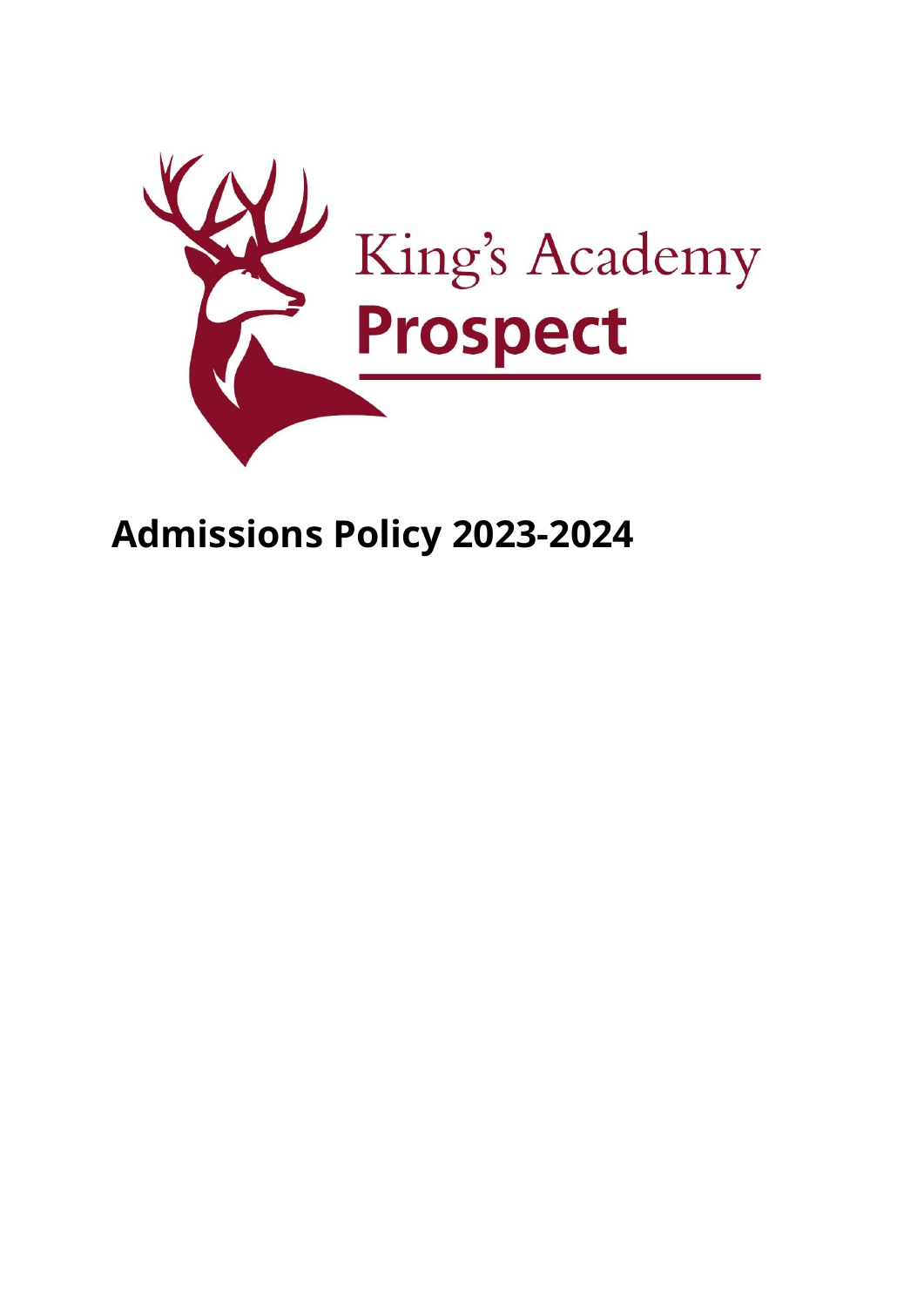

# **Admissions Policy 2023-2024**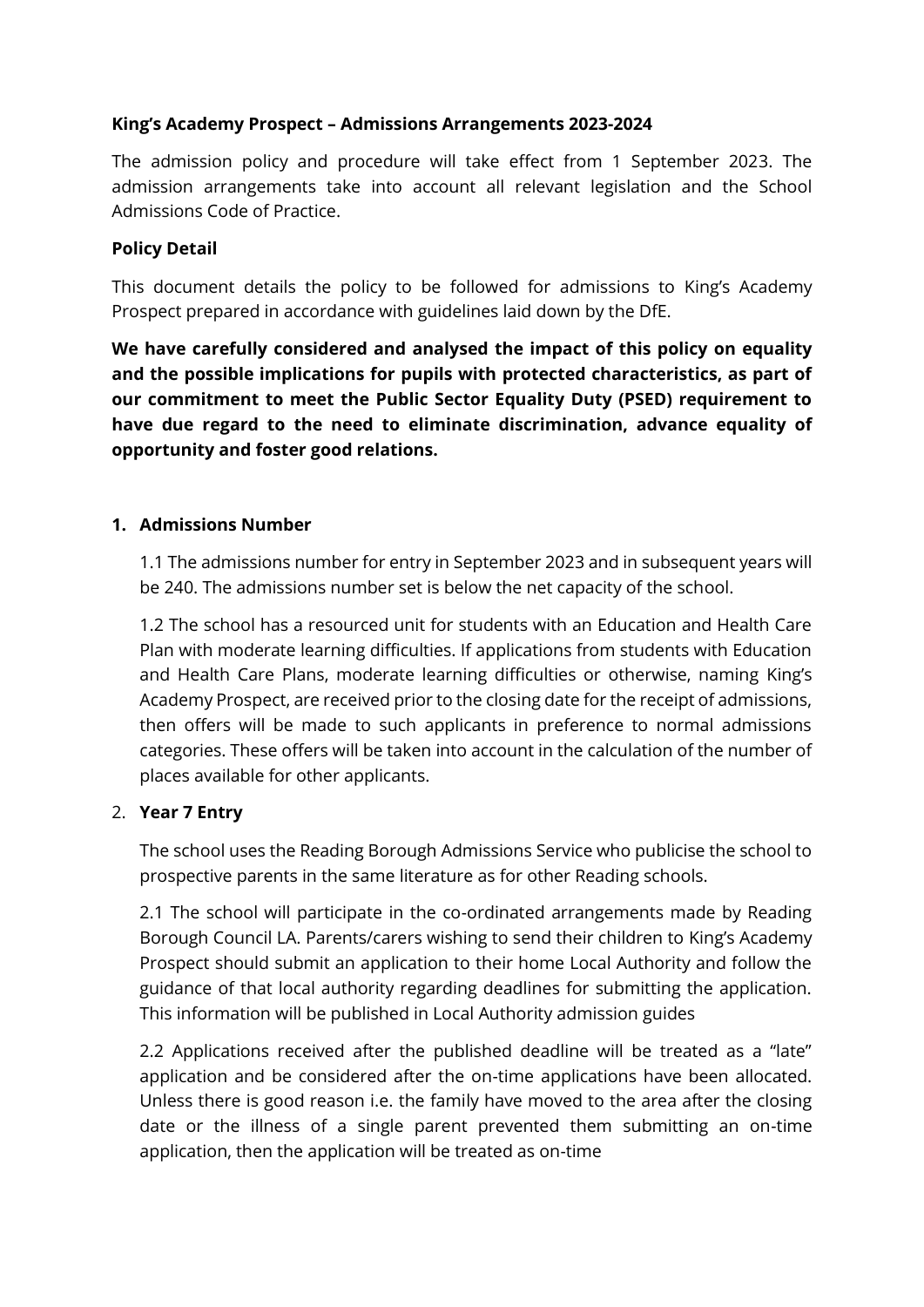### **King's Academy Prospect – Admissions Arrangements 2023-2024**

The admission policy and procedure will take effect from 1 September 2023. The admission arrangements take into account all relevant legislation and the School Admissions Code of Practice.

#### **Policy Detail**

This document details the policy to be followed for admissions to King's Academy Prospect prepared in accordance with guidelines laid down by the DfE.

**We have carefully considered and analysed the impact of this policy on equality and the possible implications for pupils with protected characteristics, as part of our commitment to meet the Public Sector Equality Duty (PSED) requirement to have due regard to the need to eliminate discrimination, advance equality of opportunity and foster good relations.**

#### **1. Admissions Number**

1.1 The admissions number for entry in September 2023 and in subsequent years will be 240. The admissions number set is below the net capacity of the school.

1.2 The school has a resourced unit for students with an Education and Health Care Plan with moderate learning difficulties. If applications from students with Education and Health Care Plans, moderate learning difficulties or otherwise, naming King's Academy Prospect, are received prior to the closing date for the receipt of admissions, then offers will be made to such applicants in preference to normal admissions categories. These offers will be taken into account in the calculation of the number of places available for other applicants.

#### 2. **Year 7 Entry**

The school uses the Reading Borough Admissions Service who publicise the school to prospective parents in the same literature as for other Reading schools.

2.1 The school will participate in the co-ordinated arrangements made by Reading Borough Council LA. Parents/carers wishing to send their children to King's Academy Prospect should submit an application to their home Local Authority and follow the guidance of that local authority regarding deadlines for submitting the application. This information will be published in Local Authority admission guides

2.2 Applications received after the published deadline will be treated as a "late" application and be considered after the on-time applications have been allocated. Unless there is good reason i.e. the family have moved to the area after the closing date or the illness of a single parent prevented them submitting an on-time application, then the application will be treated as on-time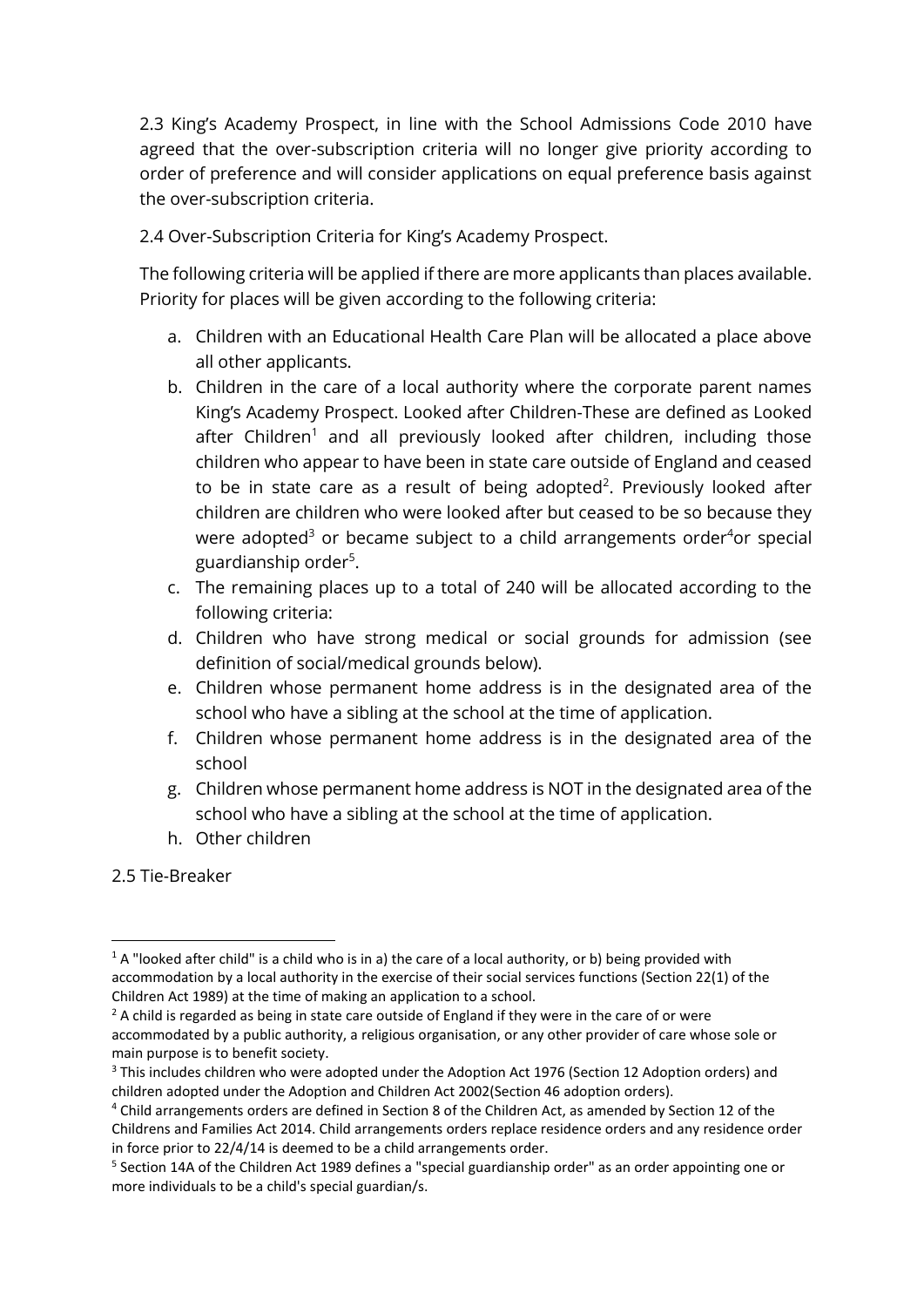2.3 King's Academy Prospect, in line with the School Admissions Code 2010 have agreed that the over-subscription criteria will no longer give priority according to order of preference and will consider applications on equal preference basis against the over-subscription criteria.

2.4 Over-Subscription Criteria for King's Academy Prospect.

The following criteria will be applied if there are more applicants than places available. Priority for places will be given according to the following criteria:

- a. Children with an Educational Health Care Plan will be allocated a place above all other applicants.
- b. Children in the care of a local authority where the corporate parent names King's Academy Prospect. Looked after Children-These are defined as Looked after Children<sup>1</sup> and all previously looked after children, including those children who appear to have been in state care outside of England and ceased to be in state care as a result of being adopted<sup>2</sup>. Previously looked after children are children who were looked after but ceased to be so because they were adopted<sup>3</sup> or became subject to a child arrangements order<sup>4</sup>or special guardianship order<sup>5</sup>.
- c. The remaining places up to a total of 240 will be allocated according to the following criteria:
- d. Children who have strong medical or social grounds for admission (see definition of social/medical grounds below).
- e. Children whose permanent home address is in the designated area of the school who have a sibling at the school at the time of application.
- f. Children whose permanent home address is in the designated area of the school
- g. Children whose permanent home address is NOT in the designated area of the school who have a sibling at the school at the time of application.
- h. Other children
- 2.5 Tie-Breaker

 $1 A$  "looked after child" is a child who is in a) the care of a local authority, or b) being provided with accommodation by a local authority in the exercise of their social services functions (Section 22(1) of the Children Act 1989) at the time of making an application to a school.

 $2$  A child is regarded as being in state care outside of England if they were in the care of or were accommodated by a public authority, a religious organisation, or any other provider of care whose sole or main purpose is to benefit society.

<sup>&</sup>lt;sup>3</sup> This includes children who were adopted under the Adoption Act 1976 (Section 12 Adoption orders) and children adopted under the Adoption and Children Act 2002(Section 46 adoption orders).

<sup>4</sup> Child arrangements orders are defined in Section 8 of the Children Act, as amended by Section 12 of the Childrens and Families Act 2014. Child arrangements orders replace residence orders and any residence order in force prior to 22/4/14 is deemed to be a child arrangements order.

<sup>&</sup>lt;sup>5</sup> Section 14A of the Children Act 1989 defines a "special guardianship order" as an order appointing one or more individuals to be a child's special guardian/s.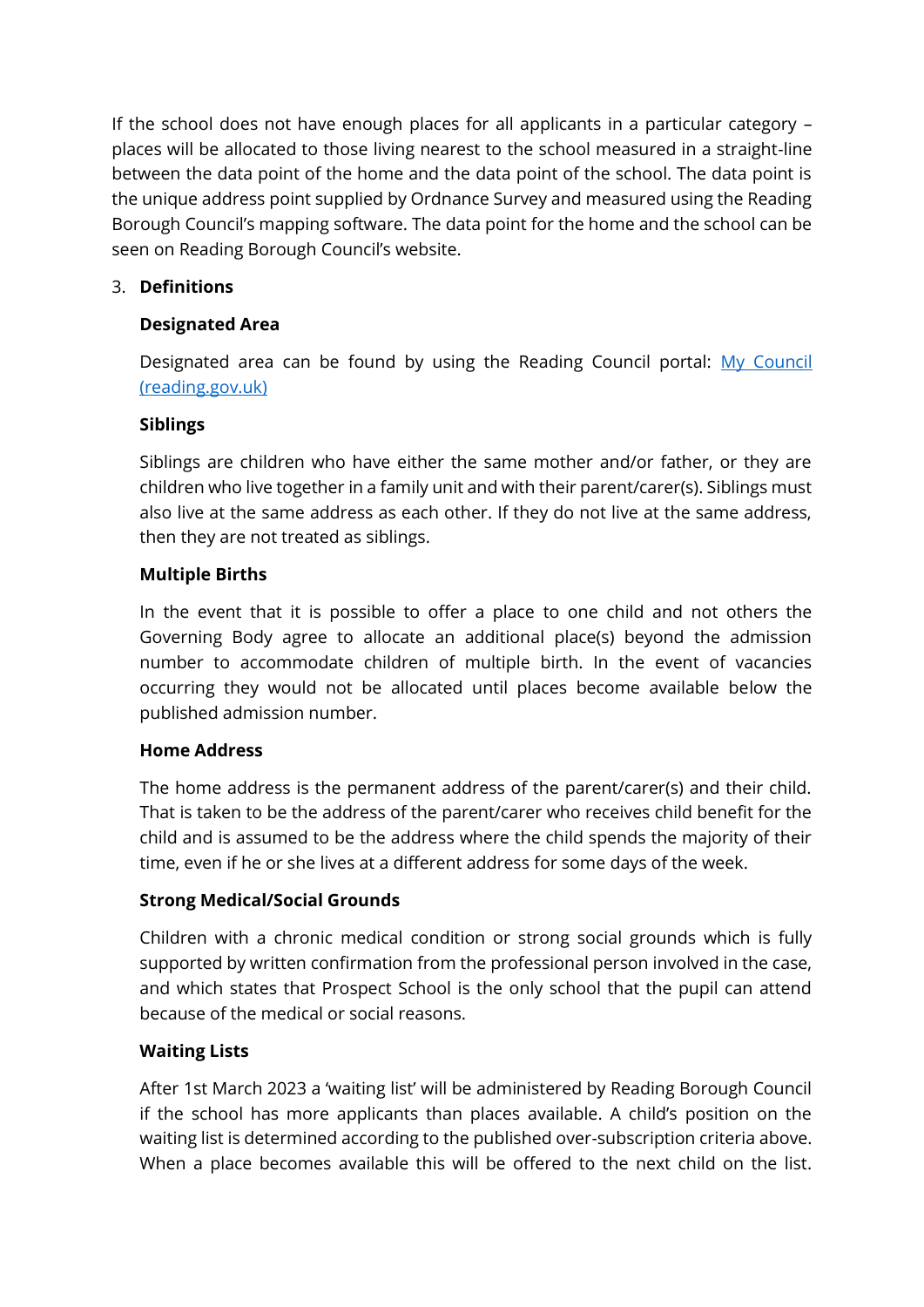If the school does not have enough places for all applicants in a particular category – places will be allocated to those living nearest to the school measured in a straight-line between the data point of the home and the data point of the school. The data point is the unique address point supplied by Ordnance Survey and measured using the Reading Borough Council's mapping software. The data point for the home and the school can be seen on Reading Borough Council's website.

## 3. **Definitions**

## **Designated Area**

Designated area can be found by using the Reading Council portal: [My Council](http://my.reading.gov.uk/)  [\(reading.gov.uk\)](http://my.reading.gov.uk/)

## **Siblings**

Siblings are children who have either the same mother and/or father, or they are children who live together in a family unit and with their parent/carer(s). Siblings must also live at the same address as each other. If they do not live at the same address, then they are not treated as siblings.

#### **Multiple Births**

In the event that it is possible to offer a place to one child and not others the Governing Body agree to allocate an additional place(s) beyond the admission number to accommodate children of multiple birth. In the event of vacancies occurring they would not be allocated until places become available below the published admission number.

## **Home Address**

The home address is the permanent address of the parent/carer(s) and their child. That is taken to be the address of the parent/carer who receives child benefit for the child and is assumed to be the address where the child spends the majority of their time, even if he or she lives at a different address for some days of the week.

## **Strong Medical/Social Grounds**

Children with a chronic medical condition or strong social grounds which is fully supported by written confirmation from the professional person involved in the case, and which states that Prospect School is the only school that the pupil can attend because of the medical or social reasons.

## **Waiting Lists**

After 1st March 2023 a 'waiting list' will be administered by Reading Borough Council if the school has more applicants than places available. A child's position on the waiting list is determined according to the published over-subscription criteria above. When a place becomes available this will be offered to the next child on the list.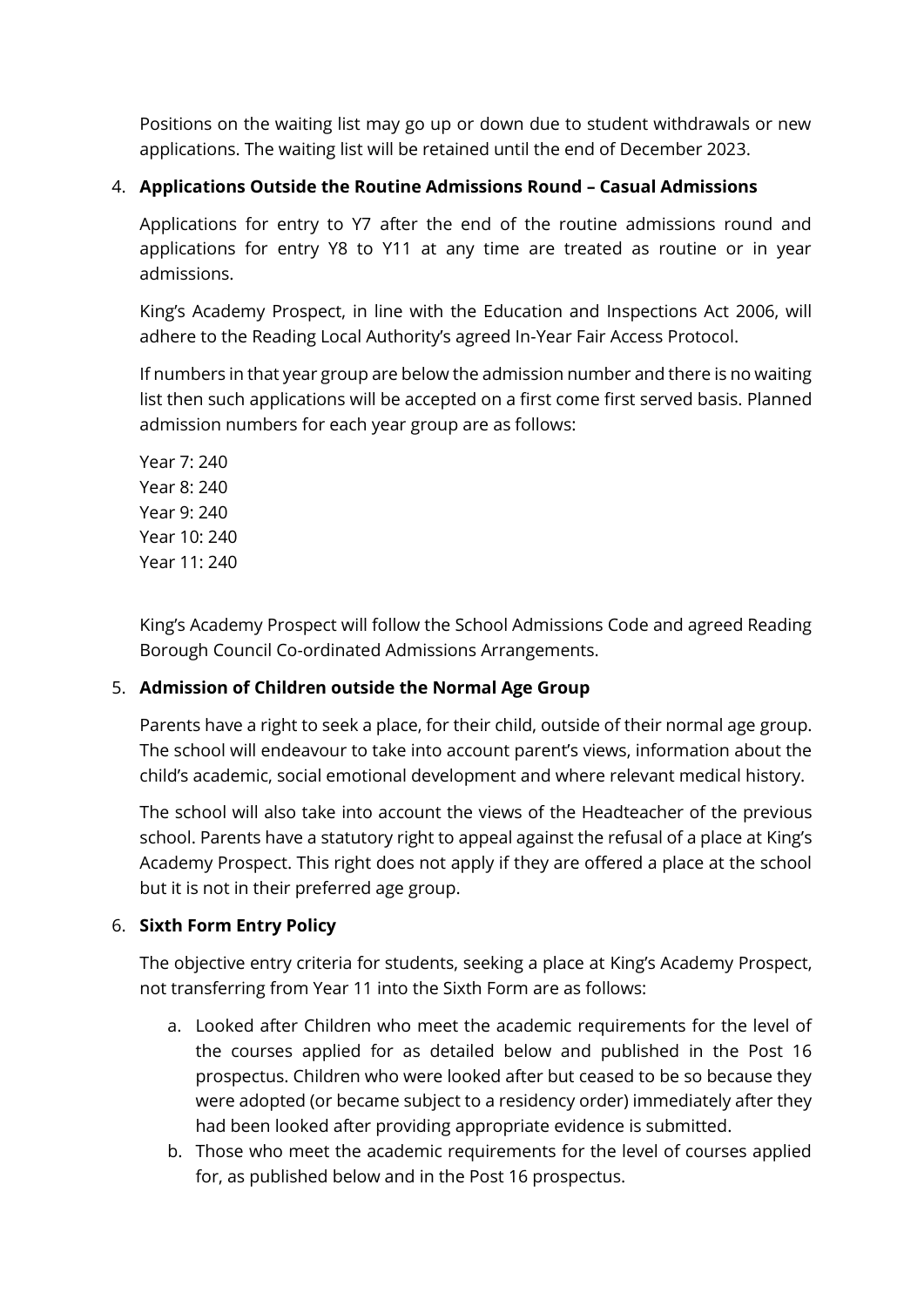Positions on the waiting list may go up or down due to student withdrawals or new applications. The waiting list will be retained until the end of December 2023.

## 4. **Applications Outside the Routine Admissions Round – Casual Admissions**

Applications for entry to Y7 after the end of the routine admissions round and applications for entry Y8 to Y11 at any time are treated as routine or in year admissions.

King's Academy Prospect, in line with the Education and Inspections Act 2006, will adhere to the Reading Local Authority's agreed In-Year Fair Access Protocol.

If numbers in that year group are below the admission number and there is no waiting list then such applications will be accepted on a first come first served basis. Planned admission numbers for each year group are as follows:

Year 7: 240 Year 8: 240 Year 9: 240 Year 10: 240 Year 11: 240

King's Academy Prospect will follow the School Admissions Code and agreed Reading Borough Council Co-ordinated Admissions Arrangements.

## 5. **Admission of Children outside the Normal Age Group**

Parents have a right to seek a place, for their child, outside of their normal age group. The school will endeavour to take into account parent's views, information about the child's academic, social emotional development and where relevant medical history.

The school will also take into account the views of the Headteacher of the previous school. Parents have a statutory right to appeal against the refusal of a place at King's Academy Prospect. This right does not apply if they are offered a place at the school but it is not in their preferred age group.

## 6. **Sixth Form Entry Policy**

The objective entry criteria for students, seeking a place at King's Academy Prospect, not transferring from Year 11 into the Sixth Form are as follows:

- a. Looked after Children who meet the academic requirements for the level of the courses applied for as detailed below and published in the Post 16 prospectus. Children who were looked after but ceased to be so because they were adopted (or became subject to a residency order) immediately after they had been looked after providing appropriate evidence is submitted.
- b. Those who meet the academic requirements for the level of courses applied for, as published below and in the Post 16 prospectus.